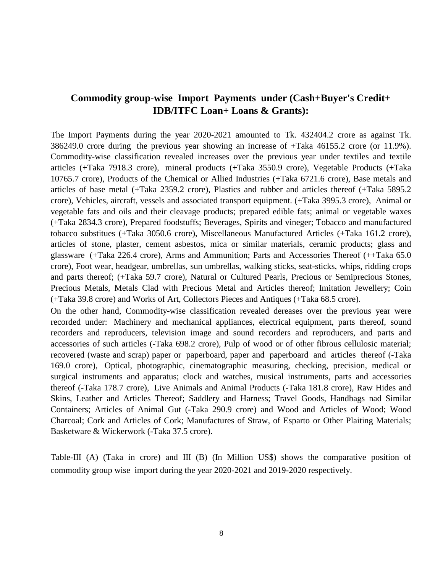## **Commodity group-wise Import Payments under (Cash+Buyer's Credit+ IDB/ITFC Loan+ Loans & Grants):**

The Import Payments during the year 2020-2021 amounted to Tk. 432404.2 crore as against Tk. 386249.0 crore during the previous year showing an increase of +Taka 46155.2 crore (or 11.9%). Commodity-wise classification revealed increases over the previous year under textiles and textile articles (+Taka 7918.3 crore), mineral products (+Taka 3550.9 crore), Vegetable Products (+Taka 10765.7 crore), Products of the Chemical or Allied Industries (+Taka 6721.6 crore), Base metals and articles of base metal (+Taka 2359.2 crore), Plastics and rubber and articles thereof (+Taka 5895.2 crore), Vehicles, aircraft, vessels and associated transport equipment. (+Taka 3995.3 crore), Animal or vegetable fats and oils and their cleavage products; prepared edible fats; animal or vegetable waxes (+Taka 2834.3 crore), Prepared foodstuffs; Beverages, Spirits and vineger; Tobacco and manufactured tobacco substitues (+Taka 3050.6 crore), Miscellaneous Manufactured Articles (+Taka 161.2 crore), articles of stone, plaster, cement asbestos, mica or similar materials, ceramic products; glass and glassware (+Taka 226.4 crore), Arms and Ammunition; Parts and Accessories Thereof (++Taka 65.0 crore), Foot wear, headgear, umbrellas, sun umbrellas, walking sticks, seat-sticks, whips, ridding crops and parts thereof; (+Taka 59.7 crore), Natural or Cultured Pearls, Precious or Semiprecious Stones, Precious Metals, Metals Clad with Precious Metal and Articles thereof; Imitation Jewellery; Coin (+Taka 39.8 crore) and Works of Art, Collectors Pieces and Antiques (+Taka 68.5 crore).

On the other hand, Commodity-wise classification revealed dereases over the previous year were recorded under: Machinery and mechanical appliances, electrical equipment, parts thereof, sound recorders and reproducers, television image and sound recorders and reproducers, and parts and accessories of such articles (-Taka 698.2 crore), Pulp of wood or of other fibrous cellulosic material; recovered (waste and scrap) paper or paperboard, paper and paperboard and articles thereof (-Taka 169.0 crore), Optical, photographic, cinematographic measuring, checking, precision, medical or surgical instruments and apparatus; clock and watches, musical instruments, parts and accessories thereof (-Taka 178.7 crore), Live Animals and Animal Products (-Taka 181.8 crore), Raw Hides and Skins, Leather and Articles Thereof; Saddlery and Harness; Travel Goods, Handbags nad Similar Containers; Articles of Animal Gut (-Taka 290.9 crore) and Wood and Articles of Wood; Wood Charcoal; Cork and Articles of Cork; Manufactures of Straw, of Esparto or Other Plaiting Materials; Basketware & Wickerwork (-Taka 37.5 crore).

Table-III (A) (Taka in crore) and III (B) (In Million US\$) shows the comparative position of commodity group wise import during the year 2020-2021 and 2019-2020 respectively.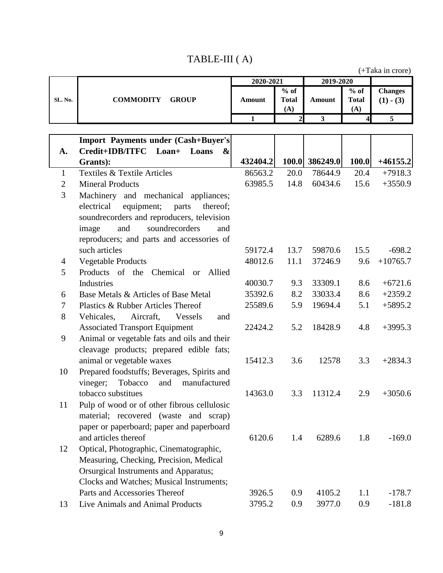## TABLE-III ( A)

|                | (+Taka in crore)                                        |               |                     |                         |              |                |
|----------------|---------------------------------------------------------|---------------|---------------------|-------------------------|--------------|----------------|
|                |                                                         | 2020-2021     |                     | $2019 - 2020$           |              |                |
|                |                                                         |               | $%$ of              |                         | $%$ of       | <b>Changes</b> |
| SL. No.        | <b>COMMODITY</b><br><b>GROUP</b>                        | <b>Amount</b> | <b>Total</b>        | Amount                  | <b>Total</b> | $(1) - (3)$    |
|                |                                                         | $\mathbf{1}$  | (A)<br>$\mathbf{2}$ | $\overline{\mathbf{3}}$ | (A)<br>4     | $\overline{5}$ |
|                |                                                         |               |                     |                         |              |                |
|                | <b>Import Payments under (Cash+Buyer's)</b>             |               |                     |                         |              |                |
| A.             | Credit+IDB/ITFC Loan+<br>Loans<br>$\boldsymbol{\alpha}$ |               |                     |                         |              |                |
|                | Grants):                                                | 432404.2      |                     | 100.0 386249.0          | 100.0        | $+46155.2$     |
| 1              | Textiles & Textile Articles                             | 86563.2       | 20.0                | 78644.9                 | 20.4         | $+7918.3$      |
| $\overline{2}$ | <b>Mineral Products</b>                                 | 63985.5       | 14.8                | 60434.6                 | 15.6         | $+3550.9$      |
| 3              | Machinery and mechanical appliances;                    |               |                     |                         |              |                |
|                | electrical<br>equipment;<br>parts<br>thereof;           |               |                     |                         |              |                |
|                | soundrecorders and reproducers, television              |               |                     |                         |              |                |
|                | and<br>soundrecorders<br>image<br>and                   |               |                     |                         |              |                |
|                | reproducers; and parts and accessories of               |               |                     |                         |              |                |
|                | such articles                                           | 59172.4       | 13.7                | 59870.6                 | 15.5         | $-698.2$       |
| 4              | <b>Vegetable Products</b>                               | 48012.6       | 11.1                | 37246.9                 | 9.6          | $+10765.7$     |
| 5              | Products of the Chemical or Allied                      |               |                     |                         |              |                |
|                | Industries                                              | 40030.7       | 9.3                 | 33309.1                 | 8.6          | $+6721.6$      |
| 6              | Base Metals & Articles of Base Metal                    | 35392.6       | 8.2                 | 33033.4                 | 8.6          | $+2359.2$      |
| 7              | Plastics & Rubber Articles Thereof                      | 25589.6       | 5.9                 | 19694.4                 | 5.1          | $+5895.2$      |
| 8              | Aircraft,<br>Vehicales,<br>Vessels<br>and               |               |                     |                         |              |                |
|                | <b>Associated Transport Equipment</b>                   | 22424.2       | 5.2                 | 18428.9                 | 4.8          | $+3995.3$      |
| 9              | Animal or vegetable fats and oils and their             |               |                     |                         |              |                |
|                | cleavage products; prepared edible fats;                |               |                     |                         |              |                |
|                | animal or vegetable waxes                               | 15412.3       | 3.6                 | 12578                   | 3.3          | $+2834.3$      |
| 10             | Prepared foodstuffs; Beverages, Spirits and             |               |                     |                         |              |                |
|                | Tobacco<br>and manufactured<br>vineger;                 |               |                     |                         |              |                |
|                | tobacco substitues                                      | 14363.0       | 3.3                 | 11312.4                 | 2.9          | $+3050.6$      |
| 11             | Pulp of wood or of other fibrous cellulosic             |               |                     |                         |              |                |
|                | material; recovered (waste and scrap)                   |               |                     |                         |              |                |
|                | paper or paperboard; paper and paperboard               |               |                     |                         |              |                |
|                | and articles thereof                                    | 6120.6        | 1.4                 | 6289.6                  | 1.8          | $-169.0$       |
| 12             | Optical, Photographic, Cinematographic,                 |               |                     |                         |              |                |
|                | Measuring, Checking, Precision, Medical                 |               |                     |                         |              |                |
|                | Orsurgical Instruments and Apparatus;                   |               |                     |                         |              |                |
|                | Clocks and Watches; Musical Instruments;                |               |                     |                         |              |                |
|                | Parts and Accessories Thereof                           | 3926.5        | 0.9                 | 4105.2                  | 1.1          | $-178.7$       |
| 13             | Live Animals and Animal Products                        | 3795.2        | 0.9                 | 3977.0                  | 0.9          | $-181.8$       |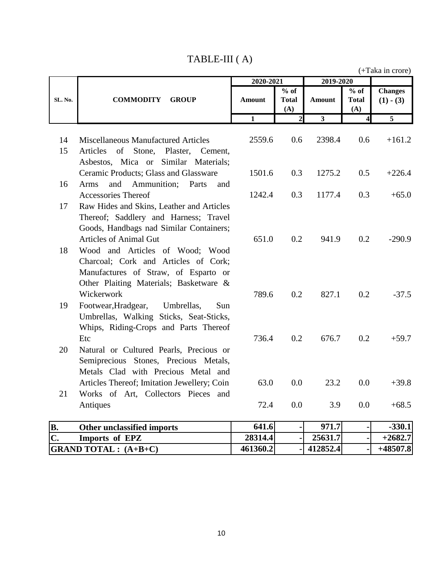| TABLE-III (A) |  |  |
|---------------|--|--|
|---------------|--|--|

(+Taka in crore)

|           |                                                 | 2020-2021      |                             | 2019-2020               |                               |                                 |  |
|-----------|-------------------------------------------------|----------------|-----------------------------|-------------------------|-------------------------------|---------------------------------|--|
| SL. No.   | <b>COMMODITY</b><br><b>GROUP</b>                | <b>Amount</b>  | % of<br><b>Total</b><br>(A) | Amount                  | $%$ of<br><b>Total</b><br>(A) | <b>Changes</b><br>$(1)$ - $(3)$ |  |
|           |                                                 | $\overline{1}$ | $\mathbf{2}$                | $\overline{\mathbf{3}}$ | $\overline{\mathbf{4}}$       | $\overline{5}$                  |  |
| 14        | <b>Miscellaneous Manufactured Articles</b>      | 2559.6         | 0.6                         | 2398.4                  | 0.6                           | $+161.2$                        |  |
| 15        | of<br>Stone,<br>Articles<br>Plaster,<br>Cement, |                |                             |                         |                               |                                 |  |
|           | Asbestos, Mica or Similar Materials;            |                |                             |                         |                               |                                 |  |
|           | Ceramic Products; Glass and Glassware           | 1501.6         | 0.3                         | 1275.2                  | 0.5                           | $+226.4$                        |  |
| 16        | and<br>Ammunition;<br>Parts<br>Arms<br>and      |                |                             |                         |                               |                                 |  |
|           | <b>Accessories Thereof</b>                      | 1242.4         | 0.3                         | 1177.4                  | 0.3                           | $+65.0$                         |  |
| 17        | Raw Hides and Skins, Leather and Articles       |                |                             |                         |                               |                                 |  |
|           | Thereof; Saddlery and Harness; Travel           |                |                             |                         |                               |                                 |  |
|           | Goods, Handbags nad Similar Containers;         |                |                             |                         |                               |                                 |  |
|           | <b>Articles of Animal Gut</b>                   | 651.0          | 0.2                         | 941.9                   | 0.2                           | $-290.9$                        |  |
| 18        | Wood and Articles of Wood; Wood                 |                |                             |                         |                               |                                 |  |
|           | Charcoal; Cork and Articles of Cork;            |                |                             |                         |                               |                                 |  |
|           | Manufactures of Straw, of Esparto or            |                |                             |                         |                               |                                 |  |
|           | Other Plaiting Materials; Basketware &          |                |                             |                         |                               |                                 |  |
|           | Wickerwork                                      | 789.6          | 0.2                         | 827.1                   | 0.2                           | $-37.5$                         |  |
| 19        | Footwear, Hradgear,<br>Umbrellas,<br>Sun        |                |                             |                         |                               |                                 |  |
|           | Umbrellas, Walking Sticks, Seat-Sticks,         |                |                             |                         |                               |                                 |  |
|           | Whips, Riding-Crops and Parts Thereof           |                |                             |                         |                               |                                 |  |
|           | Etc                                             | 736.4          | 0.2                         | 676.7                   | 0.2                           | $+59.7$                         |  |
| 20        | Natural or Cultured Pearls, Precious or         |                |                             |                         |                               |                                 |  |
|           | Semiprecious Stones, Precious Metals,           |                |                             |                         |                               |                                 |  |
|           | Metals Clad with Precious Metal and             |                |                             |                         |                               |                                 |  |
|           | Articles Thereof; Imitation Jewellery; Coin     | 63.0           | 0.0                         | 23.2                    | 0.0                           | $+39.8$                         |  |
| 21        | Works of Art, Collectors Pieces and             | 72.4           | 0.0                         | 3.9                     | 0.0                           | $+68.5$                         |  |
|           | Antiques                                        |                |                             |                         |                               |                                 |  |
| <b>B.</b> | Other unclassified imports                      | 641.6          | $\blacksquare$              | 971.7                   |                               | $-330.1$                        |  |

| B.<br>Other unclassified imports | 641.6    | 971.7    | $-330.1$  |
|----------------------------------|----------|----------|-----------|
| C.<br>Imports of EPZ             | 28314.4  | 25631.7  | $+2682.7$ |
| $GRAND TOTAL: (A+B+C)$           | 461360.2 | 412852.4 | +48507.8  |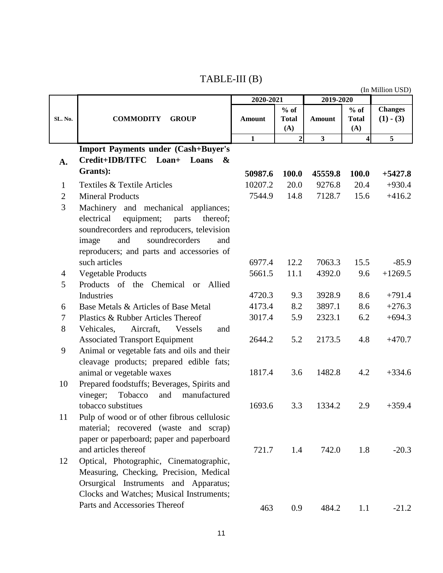## TABLE-III (B)

**Changes (1) - (3) 1 2 3 4 5 A. Import Payments under (Cash+Buyer's Credit+IDB/ITFC Loan+ Loans & Grants): 50987.6 100.0 45559.8 100.0 +5427.8** 1 Textiles & Textile Articles 10207.2 20.0 9276.8 20.4 +930.4 2 Mineral Products 7544.9 14.8 7128.7 15.6 +416.2 3 Machinery and mechanical appliances; electrical equipment; parts thereof; soundrecorders and reproducers, television image and soundrecorders and reproducers; and parts and accessories of such articles 6977.4 12.2 7063.3 15.5 -85.9 4 Vegetable Products 5661.5 11.1 4392.0 9.6 +1269.5 5 Products of the Chemical or Allied Industries 4720.3 9.3 3928.9 8.6 +791.4 6 Base Metals & Articles of Base Metal  $4173.4$  8.2 3897.1 8.6  $+276.3$ 7 Plastics & Rubber Articles Thereof 3017.4 5.9 2323.1 6.2 +694.3 8 Vehicales, Aircraft, Vessels and Associated Transport Equipment 2644.2 5.2 2173.5 4.8 +470.7 9 Animal or vegetable fats and oils and their cleavage products; prepared edible fats; animal or vegetable waxes 1817.4 3.6 1482.8 4.2 +334.6 10 Prepared foodstuffs; Beverages, Spirits and vineger; Tobacco and manufactured tobacco substitues 1693.6 3.3 1334.2 2.9 +359.4 11 Pulp of wood or of other fibrous cellulosic material; recovered (waste and scrap) paper or paperboard; paper and paperboard and articles thereof  $721.7$  1.4  $742.0$  1.8  $-20.3$ 12 Optical, Photographic, Cinematographic, Measuring, Checking, Precision, Medical Orsurgical Instruments and Apparatus; Clocks and Watches; Musical Instruments; Parts and Accessories Thereof 463 0.9 484.2 1.1 -21.2 (In Million USD) **% of Total (A) Amount % of Total (A) Amount 2020-2021 2019-2020 SL. No. COMMODITY GROUP**